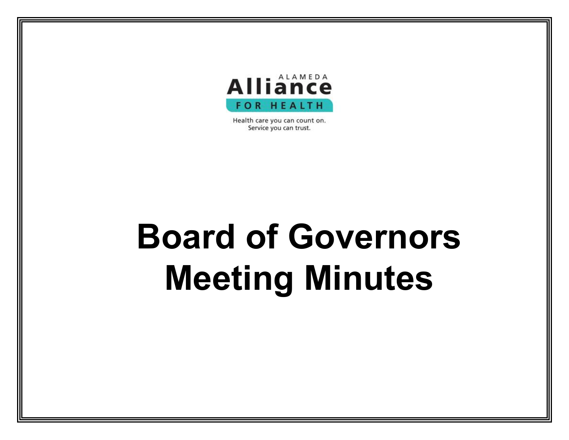

Health care you can count on. Service you can trust.

## **Board of Governors Meeting Minutes**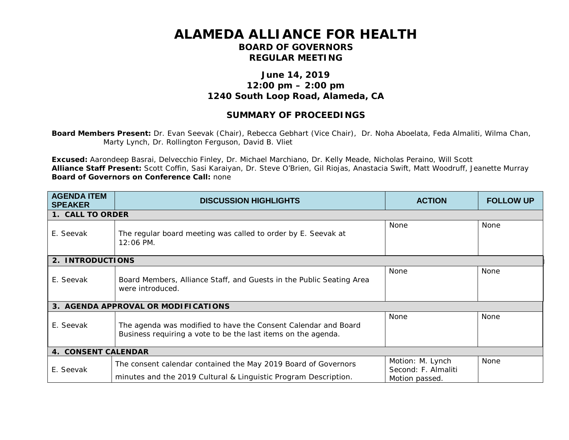## **ALAMEDA ALLIANCE FOR HEALTH BOARD OF GOVERNORS REGULAR MEETING**

## **June 14, 2019 12:00 pm – 2:00 pm 1240 South Loop Road, Alameda, CA**

## **SUMMARY OF PROCEEDINGS**

**Board Members Present:** Dr. Evan Seevak (Chair), Rebecca Gebhart (Vice Chair), Dr. Noha Aboelata, Feda Almaliti, Wilma Chan, Marty Lynch, Dr. Rollington Ferguson, David B. Vliet

**Excused:** Aarondeep Basrai, Delvecchio Finley, Dr. Michael Marchiano, Dr. Kelly Meade, Nicholas Peraino, Will Scott **Alliance Staff Present:** Scott Coffin, Sasi Karaiyan, Dr. Steve O'Brien, Gil Riojas, Anastacia Swift, Matt Woodruff, Jeanette Murray **Board of Governors on Conference Call:** none

| <b>AGENDA ITEM</b><br><b>SPEAKER</b> | <b>DISCUSSION HIGHLIGHTS</b>                                                                                                      | <b>ACTION</b>                                             | <b>FOLLOW UP</b> |
|--------------------------------------|-----------------------------------------------------------------------------------------------------------------------------------|-----------------------------------------------------------|------------------|
| 1. CALL TO ORDER                     |                                                                                                                                   |                                                           |                  |
| E. Seevak                            | The regular board meeting was called to order by E. Seevak at<br>$12:06$ PM.                                                      | <b>None</b>                                               | <b>None</b>      |
| 2. INTRODUCTIONS                     |                                                                                                                                   |                                                           |                  |
| E. Seevak                            | Board Members, Alliance Staff, and Guests in the Public Seating Area<br>were introduced.                                          | None                                                      | <b>None</b>      |
| 3. AGENDA APPROVAL OR MODIFICATIONS  |                                                                                                                                   |                                                           |                  |
| E. Seevak                            | The agenda was modified to have the Consent Calendar and Board<br>Business requiring a vote to be the last items on the agenda.   | <b>None</b>                                               | None             |
| <b>4. CONSENT CALENDAR</b>           |                                                                                                                                   |                                                           |                  |
| E. Seevak                            | The consent calendar contained the May 2019 Board of Governors<br>minutes and the 2019 Cultural & Linguistic Program Description. | Motion: M. Lynch<br>Second: F. Almaliti<br>Motion passed. | <b>None</b>      |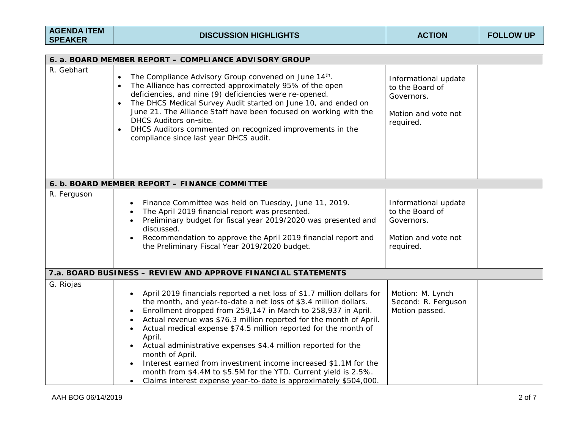| <b>AGENDA ITEM</b> |  |
|--------------------|--|
| <b>SPEAKER</b>     |  |

| 6. a. BOARD MEMBER REPORT - COMPLIANCE ADVISORY GROUP |                                                                                                                                                                                                                                                                                                                                                                                                                                                                                                                                                                                                                                                                           |                                                                                           |
|-------------------------------------------------------|---------------------------------------------------------------------------------------------------------------------------------------------------------------------------------------------------------------------------------------------------------------------------------------------------------------------------------------------------------------------------------------------------------------------------------------------------------------------------------------------------------------------------------------------------------------------------------------------------------------------------------------------------------------------------|-------------------------------------------------------------------------------------------|
| R. Gebhart                                            |                                                                                                                                                                                                                                                                                                                                                                                                                                                                                                                                                                                                                                                                           |                                                                                           |
|                                                       | The Compliance Advisory Group convened on June 14th.<br>$\bullet$<br>The Alliance has corrected approximately 95% of the open<br>deficiencies, and nine (9) deficiencies were re-opened.<br>The DHCS Medical Survey Audit started on June 10, and ended on<br>$\bullet$<br>June 21. The Alliance Staff have been focused on working with the<br>DHCS Auditors on-site.<br>DHCS Auditors commented on recognized improvements in the<br>$\bullet$<br>compliance since last year DHCS audit.                                                                                                                                                                                | Informational update<br>to the Board of<br>Governors.<br>Motion and vote not<br>required. |
|                                                       | 6. b. BOARD MEMBER REPORT - FINANCE COMMITTEE                                                                                                                                                                                                                                                                                                                                                                                                                                                                                                                                                                                                                             |                                                                                           |
| R. Ferguson                                           | Finance Committee was held on Tuesday, June 11, 2019.<br>The April 2019 financial report was presented.<br>Preliminary budget for fiscal year 2019/2020 was presented and<br>discussed.<br>Recommendation to approve the April 2019 financial report and<br>the Preliminary Fiscal Year 2019/2020 budget.                                                                                                                                                                                                                                                                                                                                                                 | Informational update<br>to the Board of<br>Governors.<br>Motion and vote not<br>required. |
|                                                       | 7.a. BOARD BUSINESS - REVIEW AND APPROVE FINANCIAL STATEMENTS                                                                                                                                                                                                                                                                                                                                                                                                                                                                                                                                                                                                             |                                                                                           |
| G. Riojas                                             | April 2019 financials reported a net loss of \$1.7 million dollars for<br>$\bullet$<br>the month, and year-to-date a net loss of \$3.4 million dollars.<br>Enrollment dropped from 259,147 in March to 258,937 in April.<br>Actual revenue was \$76.3 million reported for the month of April.<br>Actual medical expense \$74.5 million reported for the month of<br>April.<br>Actual administrative expenses \$4.4 million reported for the<br>month of April.<br>Interest earned from investment income increased \$1.1M for the<br>month from \$4.4M to \$5.5M for the YTD. Current yield is 2.5%.<br>Claims interest expense year-to-date is approximately \$504,000. | Motion: M. Lynch<br>Second: R. Ferguson<br>Motion passed.                                 |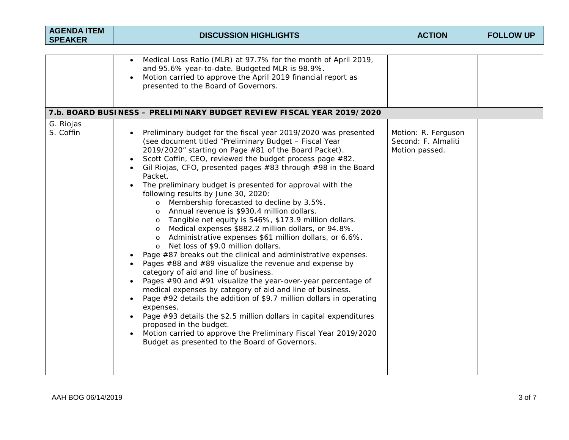| <b>AGENDA ITEM</b><br><b>SPEAKER</b> | <b>DISCUSSION HIGHLIGHTS</b>                                                                                                                                                                                                                                                                                                                                                                                                                                                                                                                                                                                                                                                                                                                                                                                                                                                                                                                                                                                                                                                                                                                                                                                                                                                                                                                                                                        | <b>ACTION</b>                                                | <b>FOLLOW UP</b> |
|--------------------------------------|-----------------------------------------------------------------------------------------------------------------------------------------------------------------------------------------------------------------------------------------------------------------------------------------------------------------------------------------------------------------------------------------------------------------------------------------------------------------------------------------------------------------------------------------------------------------------------------------------------------------------------------------------------------------------------------------------------------------------------------------------------------------------------------------------------------------------------------------------------------------------------------------------------------------------------------------------------------------------------------------------------------------------------------------------------------------------------------------------------------------------------------------------------------------------------------------------------------------------------------------------------------------------------------------------------------------------------------------------------------------------------------------------------|--------------------------------------------------------------|------------------|
|                                      | Medical Loss Ratio (MLR) at 97.7% for the month of April 2019,<br>$\bullet$<br>and 95.6% year-to-date. Budgeted MLR is 98.9%.<br>Motion carried to approve the April 2019 financial report as<br>presented to the Board of Governors.<br>7.b. BOARD BUSINESS - PRELIMINARY BUDGET REVIEW FISCAL YEAR 2019/2020                                                                                                                                                                                                                                                                                                                                                                                                                                                                                                                                                                                                                                                                                                                                                                                                                                                                                                                                                                                                                                                                                      |                                                              |                  |
| G. Riojas<br>S. Coffin               | Preliminary budget for the fiscal year 2019/2020 was presented<br>(see document titled "Preliminary Budget - Fiscal Year<br>2019/2020" starting on Page #81 of the Board Packet).<br>Scott Coffin, CEO, reviewed the budget process page #82.<br>Gil Riojas, CFO, presented pages #83 through #98 in the Board<br>Packet.<br>The preliminary budget is presented for approval with the<br>following results by June 30, 2020:<br>o Membership forecasted to decline by 3.5%.<br>o Annual revenue is \$930.4 million dollars.<br>Tangible net equity is 546%, \$173.9 million dollars.<br>$\circ$<br>Medical expenses \$882.2 million dollars, or 94.8%.<br>$\circ$<br>Administrative expenses \$61 million dollars, or 6.6%.<br>$\circ$<br>Net loss of \$9.0 million dollars.<br>$\circ$<br>Page #87 breaks out the clinical and administrative expenses.<br>Pages #88 and #89 visualize the revenue and expense by<br>category of aid and line of business.<br>Pages #90 and #91 visualize the year-over-year percentage of<br>medical expenses by category of aid and line of business.<br>Page #92 details the addition of \$9.7 million dollars in operating<br>expenses.<br>Page #93 details the \$2.5 million dollars in capital expenditures<br>proposed in the budget.<br>Motion carried to approve the Preliminary Fiscal Year 2019/2020<br>Budget as presented to the Board of Governors. | Motion: R. Ferguson<br>Second: F. Almaliti<br>Motion passed. |                  |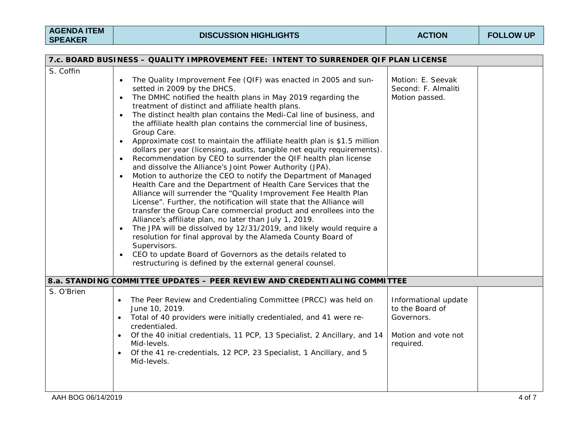| 7.c. BOARD BUSINESS - QUALITY IMPROVEMENT FEE: INTENT TO SURRENDER QIF PLAN LICENSE |                                                                                                                                                                                                                                                                                                                                                                                                                                                                                                                                                                                                                                                                                                                                                                                                                                                                                                                                                                                                                                                                                                                                                                                                                                                                                                                                                                                                                                                                                  |                                                                                           |  |
|-------------------------------------------------------------------------------------|----------------------------------------------------------------------------------------------------------------------------------------------------------------------------------------------------------------------------------------------------------------------------------------------------------------------------------------------------------------------------------------------------------------------------------------------------------------------------------------------------------------------------------------------------------------------------------------------------------------------------------------------------------------------------------------------------------------------------------------------------------------------------------------------------------------------------------------------------------------------------------------------------------------------------------------------------------------------------------------------------------------------------------------------------------------------------------------------------------------------------------------------------------------------------------------------------------------------------------------------------------------------------------------------------------------------------------------------------------------------------------------------------------------------------------------------------------------------------------|-------------------------------------------------------------------------------------------|--|
| S. Coffin                                                                           | The Quality Improvement Fee (QIF) was enacted in 2005 and sun-<br>$\bullet$<br>setted in 2009 by the DHCS.<br>The DMHC notified the health plans in May 2019 regarding the<br>$\bullet$<br>treatment of distinct and affiliate health plans.<br>The distinct health plan contains the Medi-Cal line of business, and<br>$\bullet$<br>the affiliate health plan contains the commercial line of business,<br>Group Care.<br>Approximate cost to maintain the affiliate health plan is \$1.5 million<br>$\bullet$<br>dollars per year (licensing, audits, tangible net equity requirements).<br>Recommendation by CEO to surrender the QIF health plan license<br>$\bullet$<br>and dissolve the Alliance's Joint Power Authority (JPA).<br>Motion to authorize the CEO to notify the Department of Managed<br>$\bullet$<br>Health Care and the Department of Health Care Services that the<br>Alliance will surrender the "Quality Improvement Fee Health Plan<br>License". Further, the notification will state that the Alliance will<br>transfer the Group Care commercial product and enrollees into the<br>Alliance's affiliate plan, no later than July 1, 2019.<br>The JPA will be dissolved by 12/31/2019, and likely would require a<br>$\bullet$<br>resolution for final approval by the Alameda County Board of<br>Supervisors.<br>CEO to update Board of Governors as the details related to<br>$\bullet$<br>restructuring is defined by the external general counsel. | Motion: E. Seevak<br>Second: F. Almaliti<br>Motion passed.                                |  |
|                                                                                     | 8.a. STANDING COMMITTEE UPDATES - PEER REVIEW AND CREDENTIALING COMMITTEE                                                                                                                                                                                                                                                                                                                                                                                                                                                                                                                                                                                                                                                                                                                                                                                                                                                                                                                                                                                                                                                                                                                                                                                                                                                                                                                                                                                                        |                                                                                           |  |
| S. O'Brien                                                                          | The Peer Review and Credentialing Committee (PRCC) was held on<br>$\bullet$<br>June 10, 2019.<br>Total of 40 providers were initially credentialed, and 41 were re-<br>$\bullet$<br>credentialed.<br>Of the 40 initial credentials, 11 PCP, 13 Specialist, 2 Ancillary, and 14<br>$\bullet$<br>Mid-levels.<br>Of the 41 re-credentials, 12 PCP, 23 Specialist, 1 Ancillary, and 5<br>$\bullet$<br>Mid-levels.                                                                                                                                                                                                                                                                                                                                                                                                                                                                                                                                                                                                                                                                                                                                                                                                                                                                                                                                                                                                                                                                    | Informational update<br>to the Board of<br>Governors.<br>Motion and vote not<br>required. |  |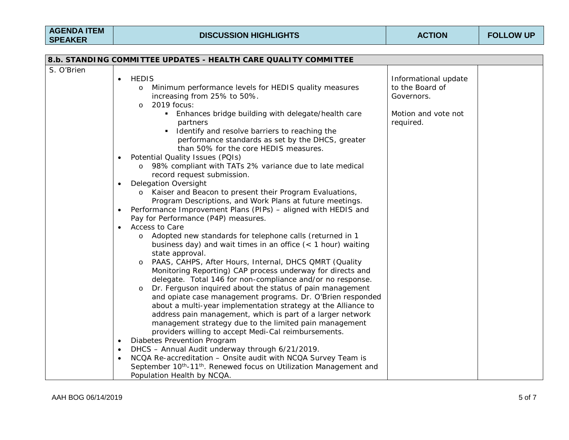| 8.b. STANDING COMMITTEE UPDATES - HEALTH CARE QUALITY COMMITTEE |                                                                                                                                                                                                                                                                                                                                                                                                                                                                                                                                                                                                                                                                                                                                                                                                                                                                                                                                                                                                                                                                                                                                                                                                                                                                                                                                                                                                                                                                                                                                                             |                                                                              |
|-----------------------------------------------------------------|-------------------------------------------------------------------------------------------------------------------------------------------------------------------------------------------------------------------------------------------------------------------------------------------------------------------------------------------------------------------------------------------------------------------------------------------------------------------------------------------------------------------------------------------------------------------------------------------------------------------------------------------------------------------------------------------------------------------------------------------------------------------------------------------------------------------------------------------------------------------------------------------------------------------------------------------------------------------------------------------------------------------------------------------------------------------------------------------------------------------------------------------------------------------------------------------------------------------------------------------------------------------------------------------------------------------------------------------------------------------------------------------------------------------------------------------------------------------------------------------------------------------------------------------------------------|------------------------------------------------------------------------------|
| S. O'Brien                                                      | <b>HEDIS</b><br>$\bullet$<br>Minimum performance levels for HEDIS quality measures<br>$\circ$<br>increasing from 25% to 50%.<br>2019 focus:<br>$\Omega$<br>Enhances bridge building with delegate/health care                                                                                                                                                                                                                                                                                                                                                                                                                                                                                                                                                                                                                                                                                                                                                                                                                                                                                                                                                                                                                                                                                                                                                                                                                                                                                                                                               | Informational update<br>to the Board of<br>Governors.<br>Motion and vote not |
|                                                                 | partners<br>Identify and resolve barriers to reaching the<br>performance standards as set by the DHCS, greater<br>than 50% for the core HEDIS measures.<br>Potential Quality Issues (PQIs)<br>$\bullet$<br>98% compliant with TATs 2% variance due to late medical<br>$\circ$<br>record request submission.<br><b>Delegation Oversight</b><br>$\bullet$<br>Kaiser and Beacon to present their Program Evaluations,<br>$\circ$<br>Program Descriptions, and Work Plans at future meetings.<br>Performance Improvement Plans (PIPs) - aligned with HEDIS and<br>$\bullet$<br>Pay for Performance (P4P) measures.<br><b>Access to Care</b><br>$\bullet$<br>Adopted new standards for telephone calls (returned in 1<br>business day) and wait times in an office $($ < 1 hour) waiting<br>state approval.<br>PAAS, CAHPS, After Hours, Internal, DHCS QMRT (Quality<br>$\circ$<br>Monitoring Reporting) CAP process underway for directs and<br>delegate. Total 146 for non-compliance and/or no response.<br>Dr. Ferguson inquired about the status of pain management<br>$\circ$<br>and opiate case management programs. Dr. O'Brien responded<br>about a multi-year implementation strategy at the Alliance to<br>address pain management, which is part of a larger network<br>management strategy due to the limited pain management<br>providers willing to accept Medi-Cal reimbursements.<br>Diabetes Prevention Program<br>٠<br>DHCS - Annual Audit underway through 6/21/2019.<br>٠<br>NCQA Re-accreditation - Onsite audit with NCQA Survey Team is | required.                                                                    |
|                                                                 | September 10 <sup>th</sup> -11 <sup>th</sup> . Renewed focus on Utilization Management and<br>Population Health by NCQA.                                                                                                                                                                                                                                                                                                                                                                                                                                                                                                                                                                                                                                                                                                                                                                                                                                                                                                                                                                                                                                                                                                                                                                                                                                                                                                                                                                                                                                    |                                                                              |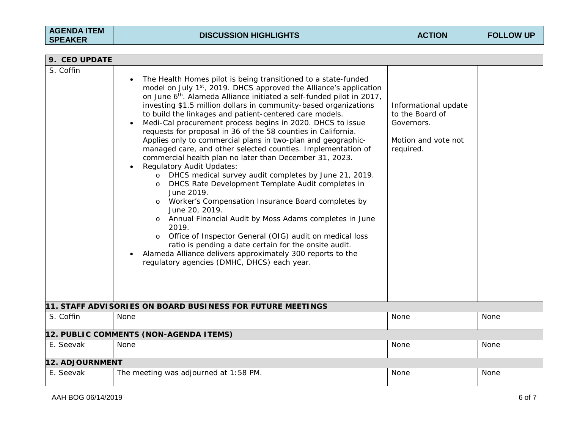| 9. CEO UPDATE   |                                                                                                                                                                                                                                                                                                                                                                                                                                                                                                                                                                                                                                                                                                                                                                                                                                                                                                                                                                                                                                                                                                                                                                                                                                                                                      |                                                                                           |      |
|-----------------|--------------------------------------------------------------------------------------------------------------------------------------------------------------------------------------------------------------------------------------------------------------------------------------------------------------------------------------------------------------------------------------------------------------------------------------------------------------------------------------------------------------------------------------------------------------------------------------------------------------------------------------------------------------------------------------------------------------------------------------------------------------------------------------------------------------------------------------------------------------------------------------------------------------------------------------------------------------------------------------------------------------------------------------------------------------------------------------------------------------------------------------------------------------------------------------------------------------------------------------------------------------------------------------|-------------------------------------------------------------------------------------------|------|
| S. Coffin       | The Health Homes pilot is being transitioned to a state-funded<br>model on July 1st, 2019. DHCS approved the Alliance's application<br>on June 6 <sup>th</sup> . Alameda Alliance initiated a self-funded pilot in 2017,<br>investing \$1.5 million dollars in community-based organizations<br>to build the linkages and patient-centered care models.<br>Medi-Cal procurement process begins in 2020. DHCS to issue<br>requests for proposal in 36 of the 58 counties in California.<br>Applies only to commercial plans in two-plan and geographic-<br>managed care, and other selected counties. Implementation of<br>commercial health plan no later than December 31, 2023.<br><b>Regulatory Audit Updates:</b><br>DHCS medical survey audit completes by June 21, 2019.<br>$\circ$<br>DHCS Rate Development Template Audit completes in<br>$\circ$<br>June 2019.<br>Worker's Compensation Insurance Board completes by<br>$\circ$<br>June 20, 2019.<br>Annual Financial Audit by Moss Adams completes in June<br>$\circ$<br>2019.<br>Office of Inspector General (OIG) audit on medical loss<br>$\circ$<br>ratio is pending a date certain for the onsite audit.<br>Alameda Alliance delivers approximately 300 reports to the<br>regulatory agencies (DMHC, DHCS) each year. | Informational update<br>to the Board of<br>Governors.<br>Motion and vote not<br>required. |      |
|                 | 11. STAFF ADVISORIES ON BOARD BUSINESS FOR FUTURE MEETINGS                                                                                                                                                                                                                                                                                                                                                                                                                                                                                                                                                                                                                                                                                                                                                                                                                                                                                                                                                                                                                                                                                                                                                                                                                           |                                                                                           |      |
| S. Coffin       | None                                                                                                                                                                                                                                                                                                                                                                                                                                                                                                                                                                                                                                                                                                                                                                                                                                                                                                                                                                                                                                                                                                                                                                                                                                                                                 | None                                                                                      | None |
|                 | 12. PUBLIC COMMENTS (NON-AGENDA ITEMS)                                                                                                                                                                                                                                                                                                                                                                                                                                                                                                                                                                                                                                                                                                                                                                                                                                                                                                                                                                                                                                                                                                                                                                                                                                               |                                                                                           |      |
| E. Seevak       | None                                                                                                                                                                                                                                                                                                                                                                                                                                                                                                                                                                                                                                                                                                                                                                                                                                                                                                                                                                                                                                                                                                                                                                                                                                                                                 | None                                                                                      | None |
| 12. ADJOURNMENT |                                                                                                                                                                                                                                                                                                                                                                                                                                                                                                                                                                                                                                                                                                                                                                                                                                                                                                                                                                                                                                                                                                                                                                                                                                                                                      |                                                                                           |      |
| E. Seevak       | The meeting was adjourned at 1:58 PM.                                                                                                                                                                                                                                                                                                                                                                                                                                                                                                                                                                                                                                                                                                                                                                                                                                                                                                                                                                                                                                                                                                                                                                                                                                                | None                                                                                      | None |